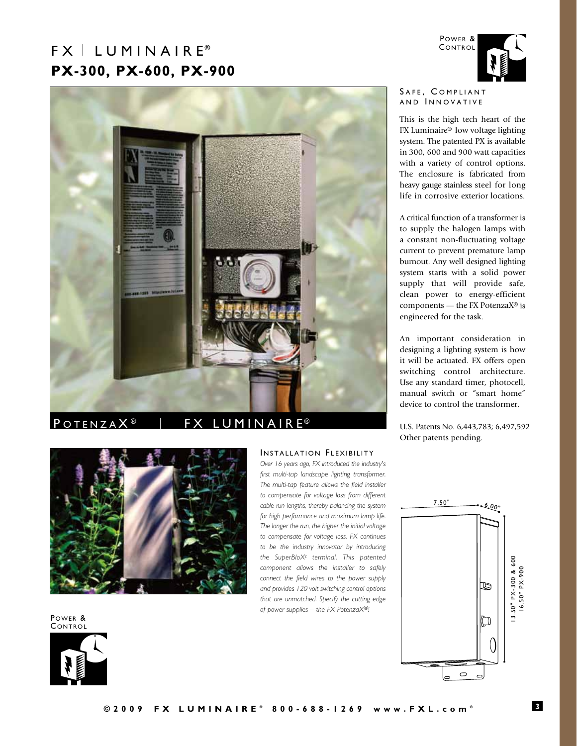# $FX \perp LUMINAIRE^{\circ}$ **PX-300, PX-600, PX-900**



## POTENZAX<sup>®</sup> | FX LUMINAIRE<sup>®</sup>



Power & **CONTROL** 



Power & **CONTROL** 

#### SAFE, COMPLIANT AND INNOVATIVE

This is the high tech heart of the FX Luminaire® low voltage lighting system. The patented PX is available in 300, 600 and 900 watt capacities with a variety of control options. The enclosure is fabricated from heavy gauge stainless steel for long life in corrosive exterior locations.

A critical function of a transformer is to supply the halogen lamps with a constant non-fluctuating voltage current to prevent premature lamp burnout. Any well designed lighting system starts with a solid power supply that will provide safe, clean power to energy-efficient components — the FX PotenzaX® is engineered for the task.

An important consideration in designing a lighting system is how it will be actuated. FX offers open switching control architecture. Use any standard timer, photocell, manual switch or "smart home" device to control the transformer.

U.S. Patents No. 6,443,783; 6,497,592 Other patents pending.

### INSTALLATION FLEXIBILITY

*Over 16 years ago, FX introduced the industry's first multi-tap landscape lighting transformer. The multi-tap feature allows the field installer to compensate for voltage loss from different cable run lengths, thereby balancing the system for high performance and maximum lamp life. The longer the run, the higher the initial voltage to compensate for voltage loss. FX continues to be the industry innovator by introducing the SuperBloXt terminal. This patented component allows the installer to safely connect the field wires to the power supply and provides 120 volt switching control options that are unmatched. Specify the cutting edge of power supplies – the FX PotenzaX®!*

7.50" 6.00" 13.50" PX-300 & 600<br>16.50" PX-900 13.50" PX-300 & 600 16.50" PX-900 B ÌO  $\circ$